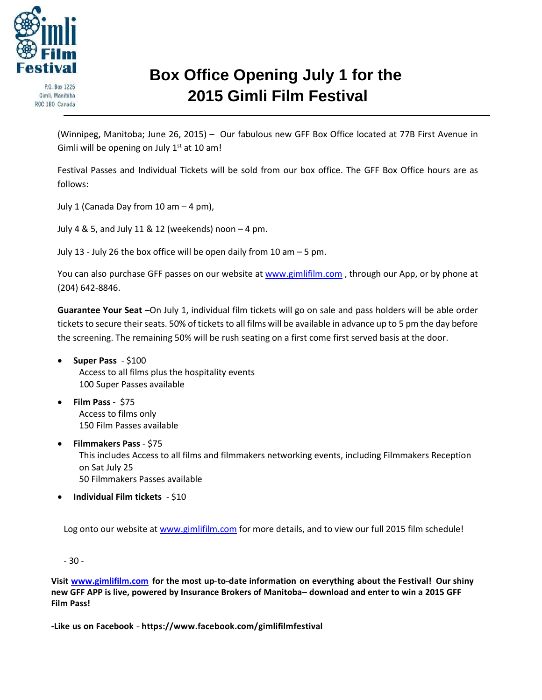

P.O. Box 1225 Gimli, Manitoba ROC 1BO Canada

## **Box Office Opening July 1 for the 2015 Gimli Film Festival**

(Winnipeg, Manitoba; June 26, 2015) – Our fabulous new GFF Box Office located at 77B First Avenue in Gimli will be opening on July  $1<sup>st</sup>$  at 10 am!

Festival Passes and Individual Tickets will be sold from our box office. The GFF Box Office hours are as follows:

July 1 (Canada Day from 10 am – 4 pm),

July 4 & 5, and July 11 & 12 (weekends) noon – 4 pm.

July 13 - July 26 the box office will be open daily from 10 am – 5 pm.

You can also purchase GFF passes on our website a[t www.gimlifilm](http://www.gimlifilm.com/).com, through our App, or by phone at (204) 642-8846.

**Guarantee Your Seat** –On July 1, individual film tickets will go on sale and pass holders will be able order tickets to secure their seats. 50% of tickets to all films will be available in advance up to 5 pm the day before the screening. The remaining 50% will be rush seating on a first come first served basis at the door.

- **Super Pass** \$100 Access to all films plus the hospitality events 100 Super Passes available
- **Film Pass** \$75 Access to films only 150 Film Passes available
- **Filmmakers Pass** \$75 This includes Access to all films and filmmakers networking events, including Filmmakers Reception on Sat July 25 50 Filmmakers Passes available
- **Individual Film tickets** \$10

Log onto our website at [www.gimlifilm](http://www.gimlifilm.com/).com for more details, and to view our full 2015 film schedule!

- 30 -

**Visit [www.gimlifilm.com](http://www.gimlifilm.com/) for the most up--‐to--‐date information on everything about the Festival! Our shiny new GFF APP is live, powered by Insurance Brokers of Manitoba– download and enter to win a 2015 GFF Film Pass!**

**-Like us on Facebook -‐‐ https:/[/www.facebook.com/gimlifilmfestival](http://www.facebook.com/gimlifilmfestival)**